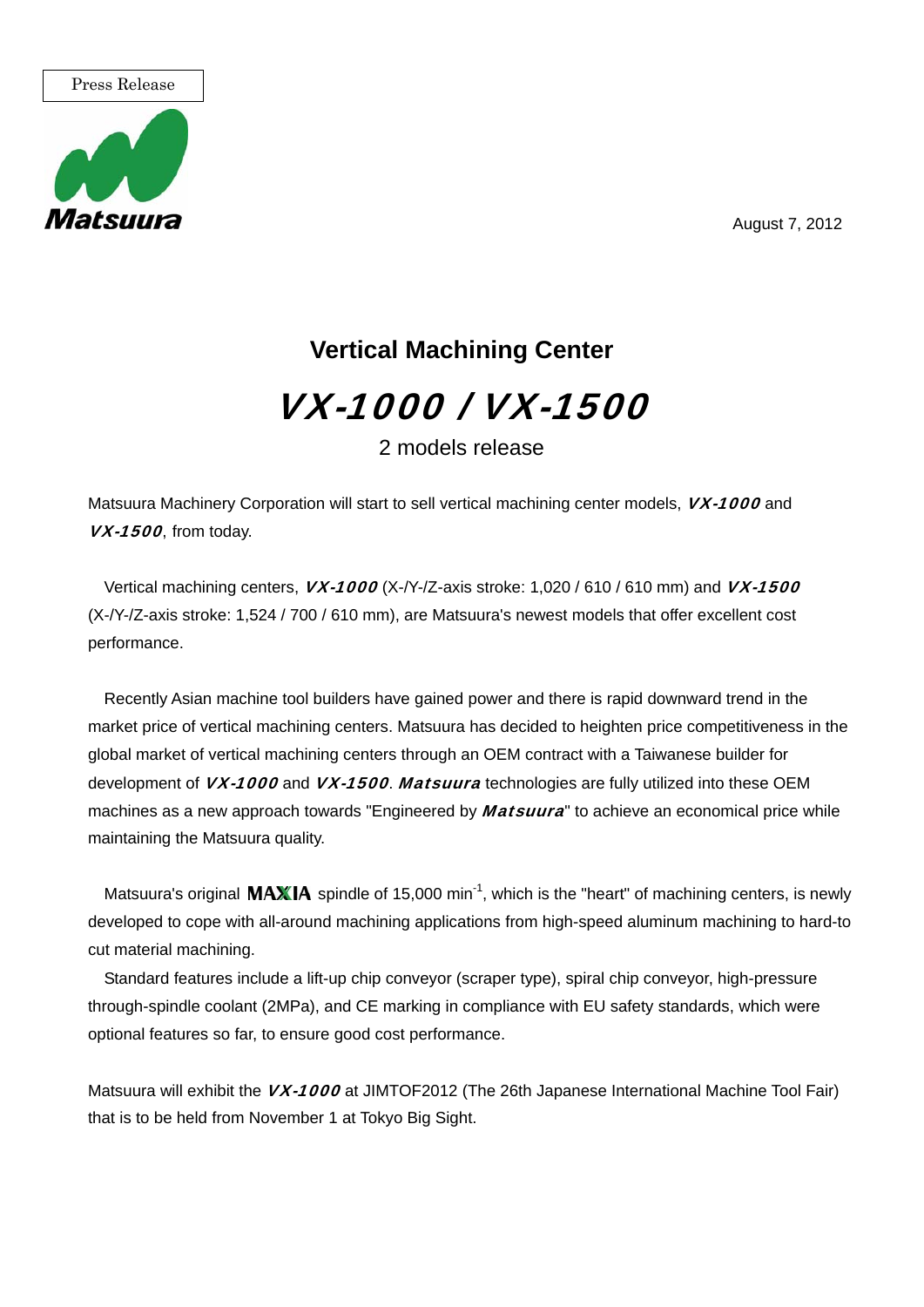August 7, 2012



## **Vertical Machining Center** VX-1000 / VX-1500

2 models release

Matsuura Machinery Corporation will start to sell vertical machining center models, *VX-1000* and VX-1500, from today.

Vertical machining centers, *VX-1000* (X-/Y-/Z-axis stroke: 1,020 / 610 / 610 mm) and *VX-1500* (X-/Y-/Z-axis stroke: 1,524 / 700 / 610 mm), are Matsuura's newest models that offer excellent cost performance.

Recently Asian machine tool builders have gained power and there is rapid downward trend in the market price of vertical machining centers. Matsuura has decided to heighten price competitiveness in the global market of vertical machining centers through an OEM contract with a Taiwanese builder for development of VX-1000 and VX-1500. Matsuura technologies are fully utilized into these OEM machines as a new approach towards "Engineered by *Matsuura*" to achieve an economical price while maintaining the Matsuura quality.

Matsuura's original  $MAXIA$  spindle of 15,000 min<sup>-1</sup>, which is the "heart" of machining centers, is newly developed to cope with all-around machining applications from high-speed aluminum machining to hard-to cut material machining.

Standard features include a lift-up chip conveyor (scraper type), spiral chip conveyor, high-pressure through-spindle coolant (2MPa), and CE marking in compliance with EU safety standards, which were optional features so far, to ensure good cost performance.

Matsuura will exhibit the VX-1000 at JIMTOF2012 (The 26th Japanese International Machine Tool Fair) that is to be held from November 1 at Tokyo Big Sight.